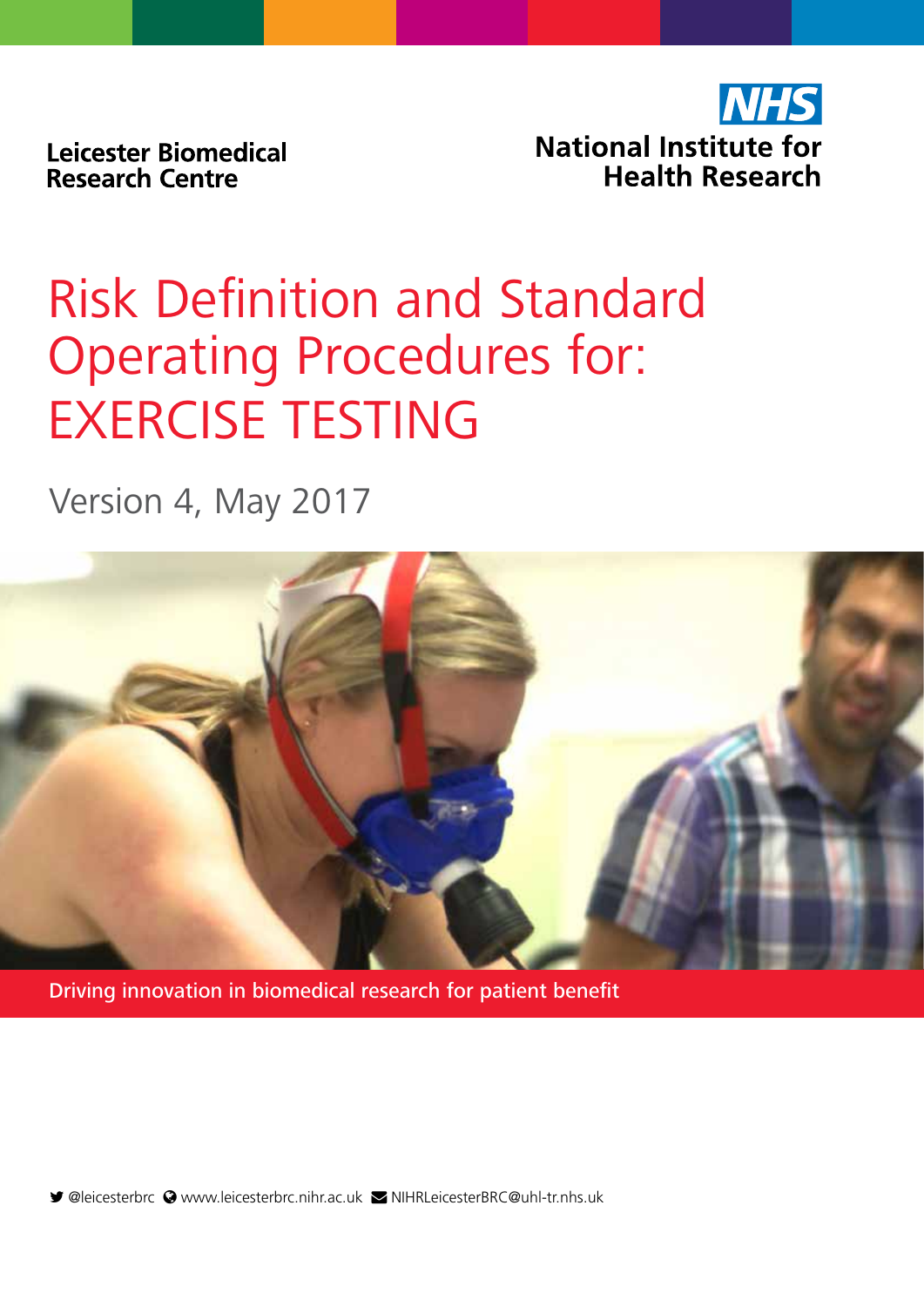

**Leicester Biomedical Research Centre** 

# Risk Definition and Standard Operating Procedures for: EXERCISE TESTING

Version 4, May 2017



Driving innovation in biomedical research for patient benefit

@leicesterbrc www.leicesterbrc.nihr.ac.uk NIHRLeicesterBRC@uhl-tr.nhs.uk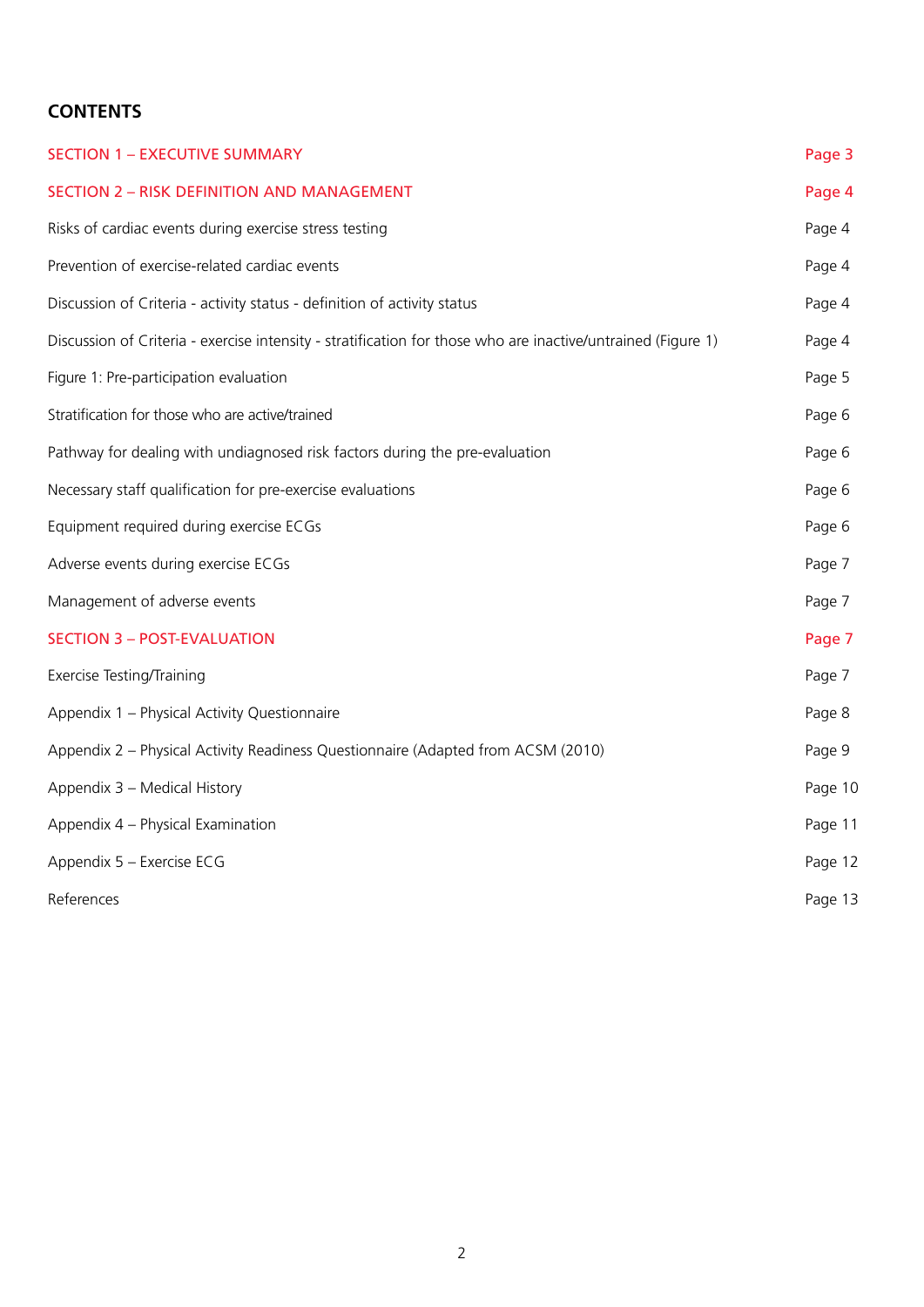## **CONTENTS**

| <b>SECTION 1 - EXECUTIVE SUMMARY</b>                                                                         | Page 3  |
|--------------------------------------------------------------------------------------------------------------|---------|
| <b>SECTION 2 - RISK DEFINITION AND MANAGEMENT</b>                                                            | Page 4  |
| Risks of cardiac events during exercise stress testing                                                       | Page 4  |
| Prevention of exercise-related cardiac events                                                                | Page 4  |
| Discussion of Criteria - activity status - definition of activity status                                     | Page 4  |
| Discussion of Criteria - exercise intensity - stratification for those who are inactive/untrained (Figure 1) | Page 4  |
| Figure 1: Pre-participation evaluation                                                                       | Page 5  |
| Stratification for those who are active/trained                                                              | Page 6  |
| Pathway for dealing with undiagnosed risk factors during the pre-evaluation                                  | Page 6  |
| Necessary staff qualification for pre-exercise evaluations                                                   | Page 6  |
| Equipment required during exercise ECGs                                                                      | Page 6  |
| Adverse events during exercise ECGs                                                                          | Page 7  |
| Management of adverse events                                                                                 | Page 7  |
| <b>SECTION 3 - POST-EVALUATION</b>                                                                           | Page 7  |
| Exercise Testing/Training                                                                                    | Page 7  |
| Appendix 1 - Physical Activity Questionnaire                                                                 | Page 8  |
| Appendix 2 - Physical Activity Readiness Questionnaire (Adapted from ACSM (2010)                             | Page 9  |
| Appendix 3 - Medical History                                                                                 | Page 10 |
| Appendix 4 – Physical Examination                                                                            | Page 11 |
| Appendix 5 - Exercise ECG                                                                                    | Page 12 |
| References                                                                                                   | Page 13 |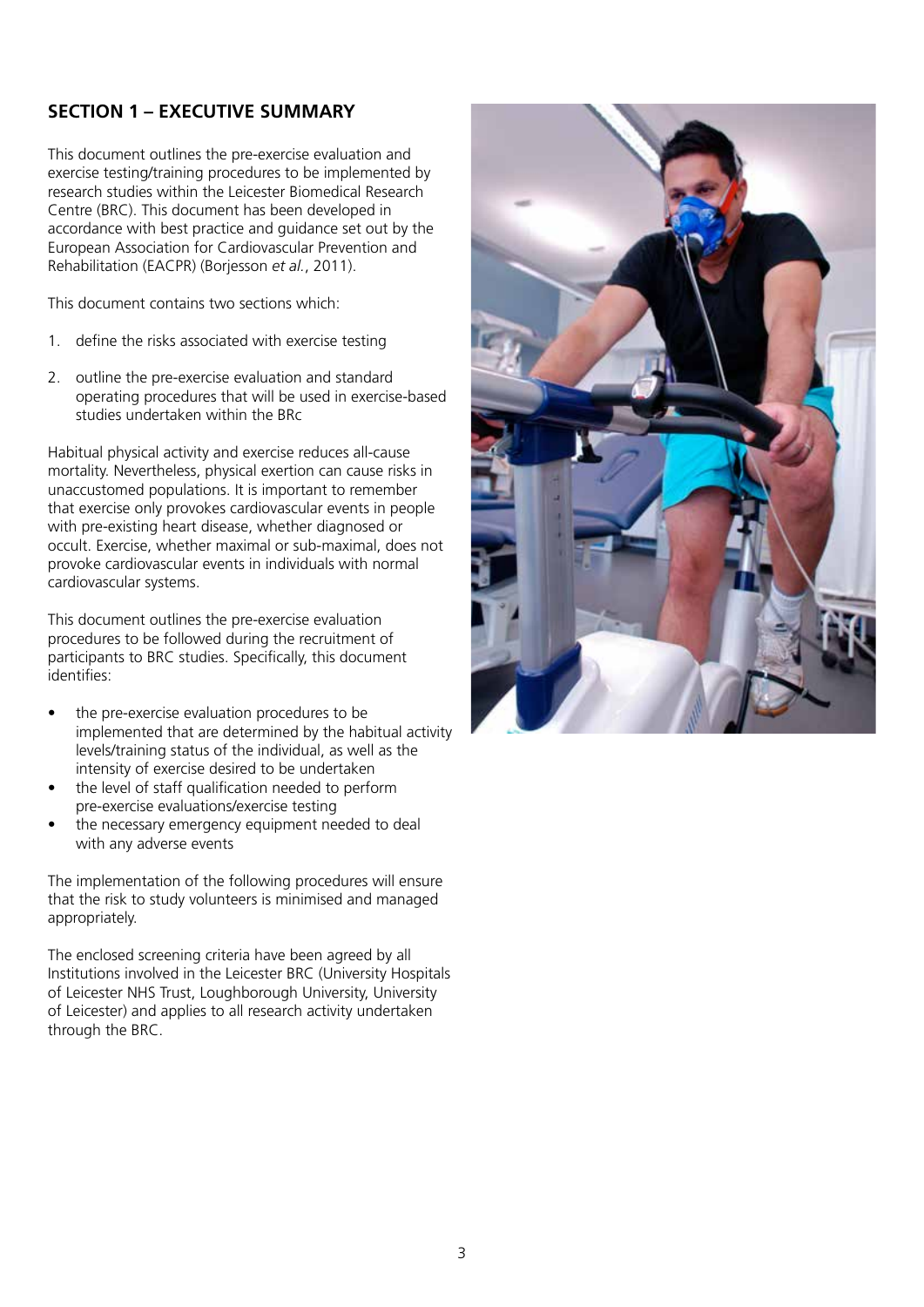## **SECTION 1 – EXECUTIVE SUMMARY**

This document outlines the pre-exercise evaluation and exercise testing/training procedures to be implemented by research studies within the Leicester Biomedical Research Centre (BRC). This document has been developed in accordance with best practice and guidance set out by the European Association for Cardiovascular Prevention and Rehabilitation (EACPR) (Borjesson *et al.*, 2011).

This document contains two sections which:

- 1. define the risks associated with exercise testing
- 2. outline the pre-exercise evaluation and standard operating procedures that will be used in exercise-based studies undertaken within the BRc

Habitual physical activity and exercise reduces all-cause mortality. Nevertheless, physical exertion can cause risks in unaccustomed populations. It is important to remember that exercise only provokes cardiovascular events in people with pre-existing heart disease, whether diagnosed or occult. Exercise, whether maximal or sub-maximal, does not provoke cardiovascular events in individuals with normal cardiovascular systems.

This document outlines the pre-exercise evaluation procedures to be followed during the recruitment of participants to BRC studies. Specifically, this document identifies:

- the pre-exercise evaluation procedures to be implemented that are determined by the habitual activity levels/training status of the individual, as well as the intensity of exercise desired to be undertaken
- the level of staff qualification needed to perform pre-exercise evaluations/exercise testing
- the necessary emergency equipment needed to deal with any adverse events

The implementation of the following procedures will ensure that the risk to study volunteers is minimised and managed appropriately.

The enclosed screening criteria have been agreed by all Institutions involved in the Leicester BRC (University Hospitals of Leicester NHS Trust, Loughborough University, University of Leicester) and applies to all research activity undertaken through the BRC.

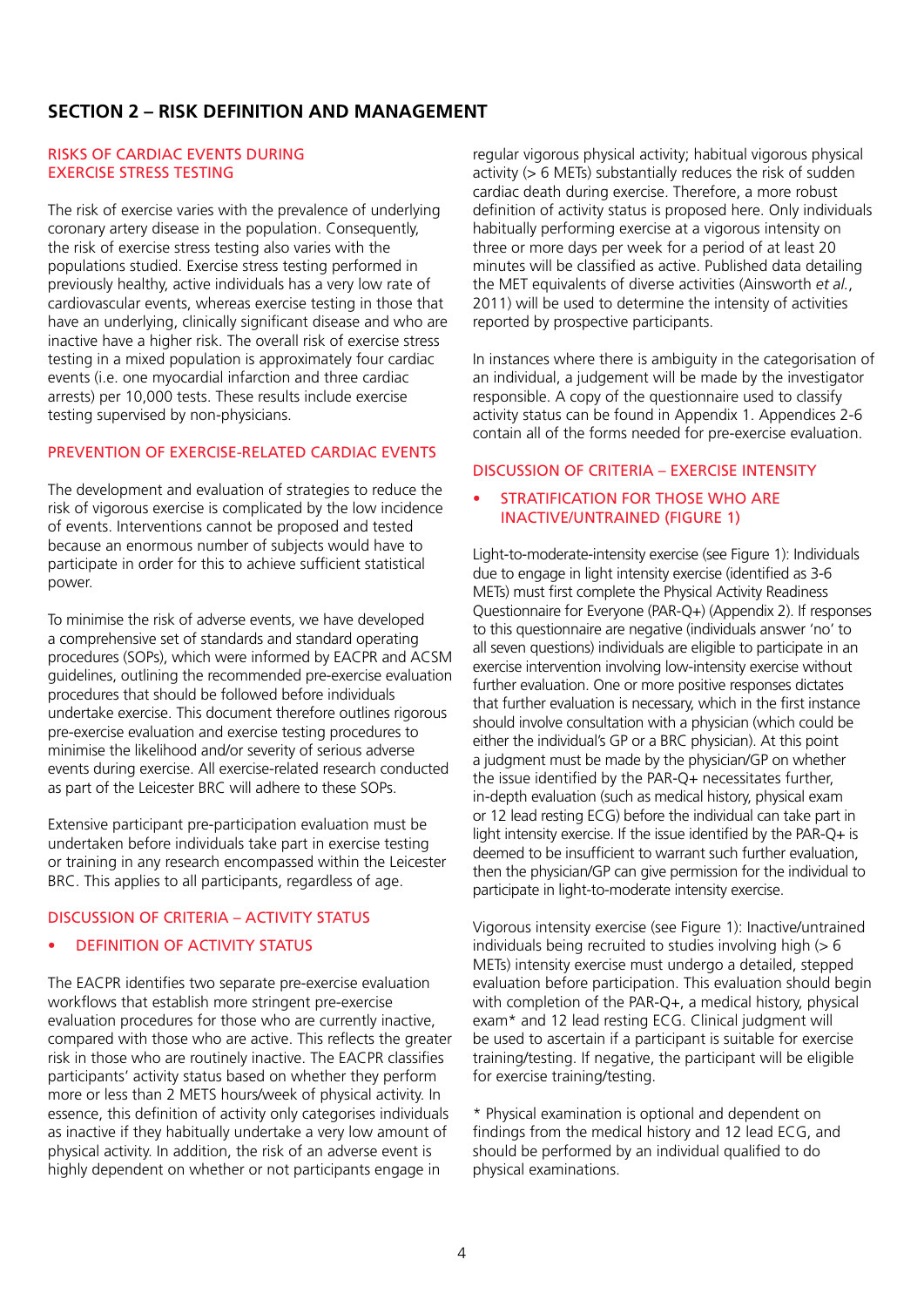### **SECTION 2 – RISK DEFINITION AND MANAGEMENT**

#### RISKS OF CARDIAC EVENTS DURING EXERCISE STRESS TESTING

The risk of exercise varies with the prevalence of underlying coronary artery disease in the population. Consequently, the risk of exercise stress testing also varies with the populations studied. Exercise stress testing performed in previously healthy, active individuals has a very low rate of cardiovascular events, whereas exercise testing in those that have an underlying, clinically significant disease and who are inactive have a higher risk. The overall risk of exercise stress testing in a mixed population is approximately four cardiac events (i.e. one myocardial infarction and three cardiac arrests) per 10,000 tests. These results include exercise testing supervised by non-physicians.

#### PREVENTION OF EXERCISE-RELATED CARDIAC EVENTS

The development and evaluation of strategies to reduce the risk of vigorous exercise is complicated by the low incidence of events. Interventions cannot be proposed and tested because an enormous number of subjects would have to participate in order for this to achieve sufficient statistical power.

To minimise the risk of adverse events, we have developed a comprehensive set of standards and standard operating procedures (SOPs), which were informed by EACPR and ACSM guidelines, outlining the recommended pre-exercise evaluation procedures that should be followed before individuals undertake exercise. This document therefore outlines rigorous pre-exercise evaluation and exercise testing procedures to minimise the likelihood and/or severity of serious adverse events during exercise. All exercise-related research conducted as part of the Leicester BRC will adhere to these SOPs.

Extensive participant pre-participation evaluation must be undertaken before individuals take part in exercise testing or training in any research encompassed within the Leicester BRC. This applies to all participants, regardless of age.

#### DISCUSSION OF CRITERIA – ACTIVITY STATUS

#### **DEFINITION OF ACTIVITY STATUS**

The EACPR identifies two separate pre-exercise evaluation workflows that establish more stringent pre-exercise evaluation procedures for those who are currently inactive, compared with those who are active. This reflects the greater risk in those who are routinely inactive. The EACPR classifies participants' activity status based on whether they perform more or less than 2 METS hours/week of physical activity. In essence, this definition of activity only categorises individuals as inactive if they habitually undertake a very low amount of physical activity. In addition, the risk of an adverse event is highly dependent on whether or not participants engage in

regular vigorous physical activity; habitual vigorous physical activity (> 6 METs) substantially reduces the risk of sudden cardiac death during exercise. Therefore, a more robust definition of activity status is proposed here. Only individuals habitually performing exercise at a vigorous intensity on three or more days per week for a period of at least 20 minutes will be classified as active. Published data detailing the MET equivalents of diverse activities (Ainsworth *et al.*, 2011) will be used to determine the intensity of activities reported by prospective participants.

In instances where there is ambiguity in the categorisation of an individual, a judgement will be made by the investigator responsible. A copy of the questionnaire used to classify activity status can be found in Appendix 1. Appendices 2-6 contain all of the forms needed for pre-exercise evaluation.

#### DISCUSSION OF CRITERIA – EXERCISE INTENSITY

#### • STRATIFICATION FOR THOSE WHO ARE INACTIVE/UNTRAINED (FIGURE 1)

Light-to-moderate-intensity exercise (see Figure 1): Individuals due to engage in light intensity exercise (identified as 3-6 METs) must first complete the Physical Activity Readiness Questionnaire for Everyone (PAR-Q+) (Appendix 2). If responses to this questionnaire are negative (individuals answer 'no' to all seven questions) individuals are eligible to participate in an exercise intervention involving low-intensity exercise without further evaluation. One or more positive responses dictates that further evaluation is necessary, which in the first instance should involve consultation with a physician (which could be either the individual's GP or a BRC physician). At this point a judgment must be made by the physician/GP on whether the issue identified by the PAR-Q+ necessitates further, in-depth evaluation (such as medical history, physical exam or 12 lead resting ECG) before the individual can take part in light intensity exercise. If the issue identified by the PAR-Q+ is deemed to be insufficient to warrant such further evaluation, then the physician/GP can give permission for the individual to participate in light-to-moderate intensity exercise.

Vigorous intensity exercise (see Figure 1): Inactive/untrained individuals being recruited to studies involving high  $(> 6$ METs) intensity exercise must undergo a detailed, stepped evaluation before participation. This evaluation should begin with completion of the PAR-Q+, a medical history, physical exam\* and 12 lead resting ECG. Clinical judgment will be used to ascertain if a participant is suitable for exercise training/testing. If negative, the participant will be eligible for exercise training/testing.

\* Physical examination is optional and dependent on findings from the medical history and 12 lead ECG, and should be performed by an individual qualified to do physical examinations.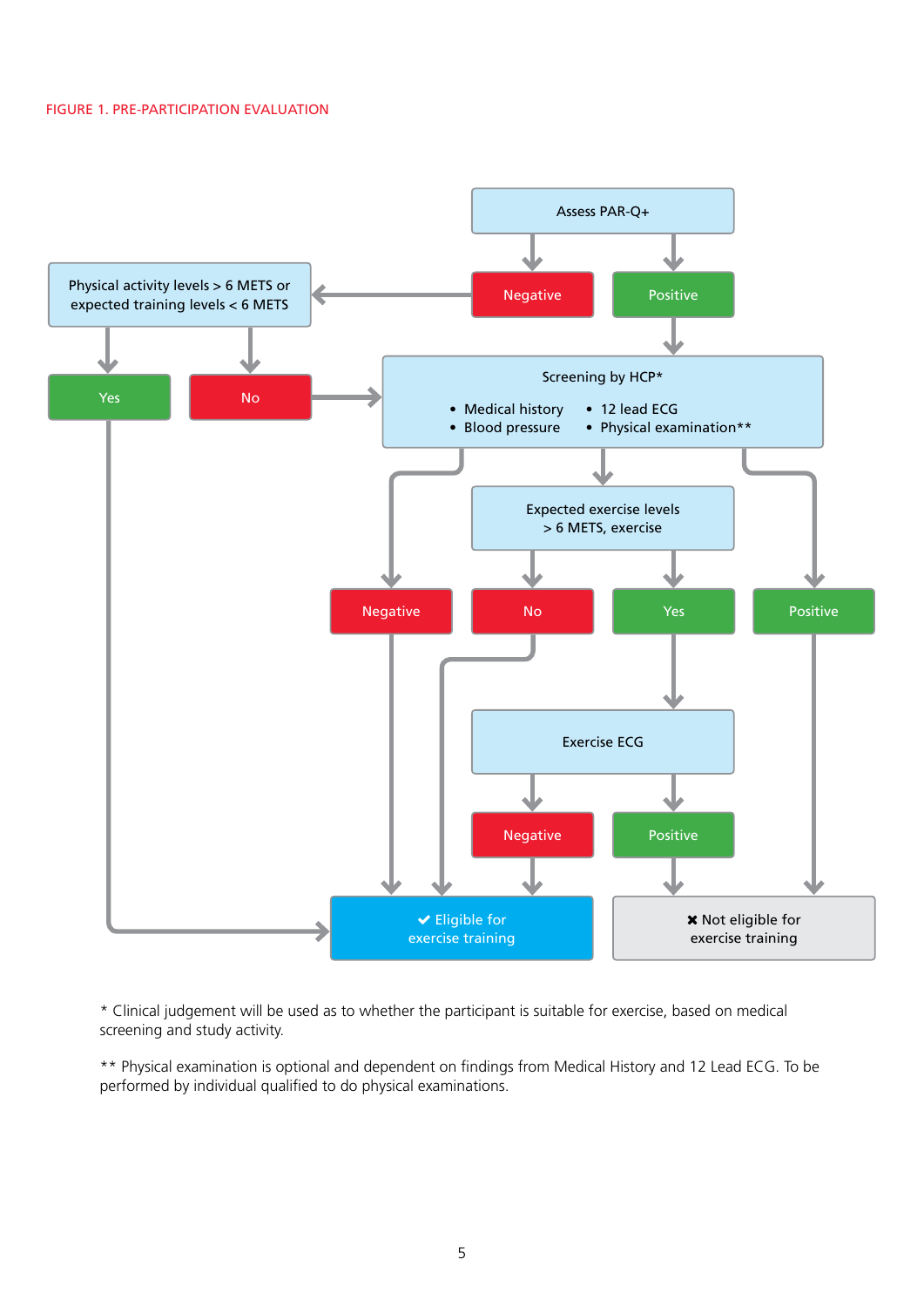#### FIGURE 1. PRE-PARTICIPATION EVALUATION



\* Clinical judgement will be used as to whether the participant is suitable for exercise, based on medical screening and study activity.

\*\* Physical examination is optional and dependent on findings from Medical History and 12 Lead ECG. To be performed by individual qualified to do physical examinations.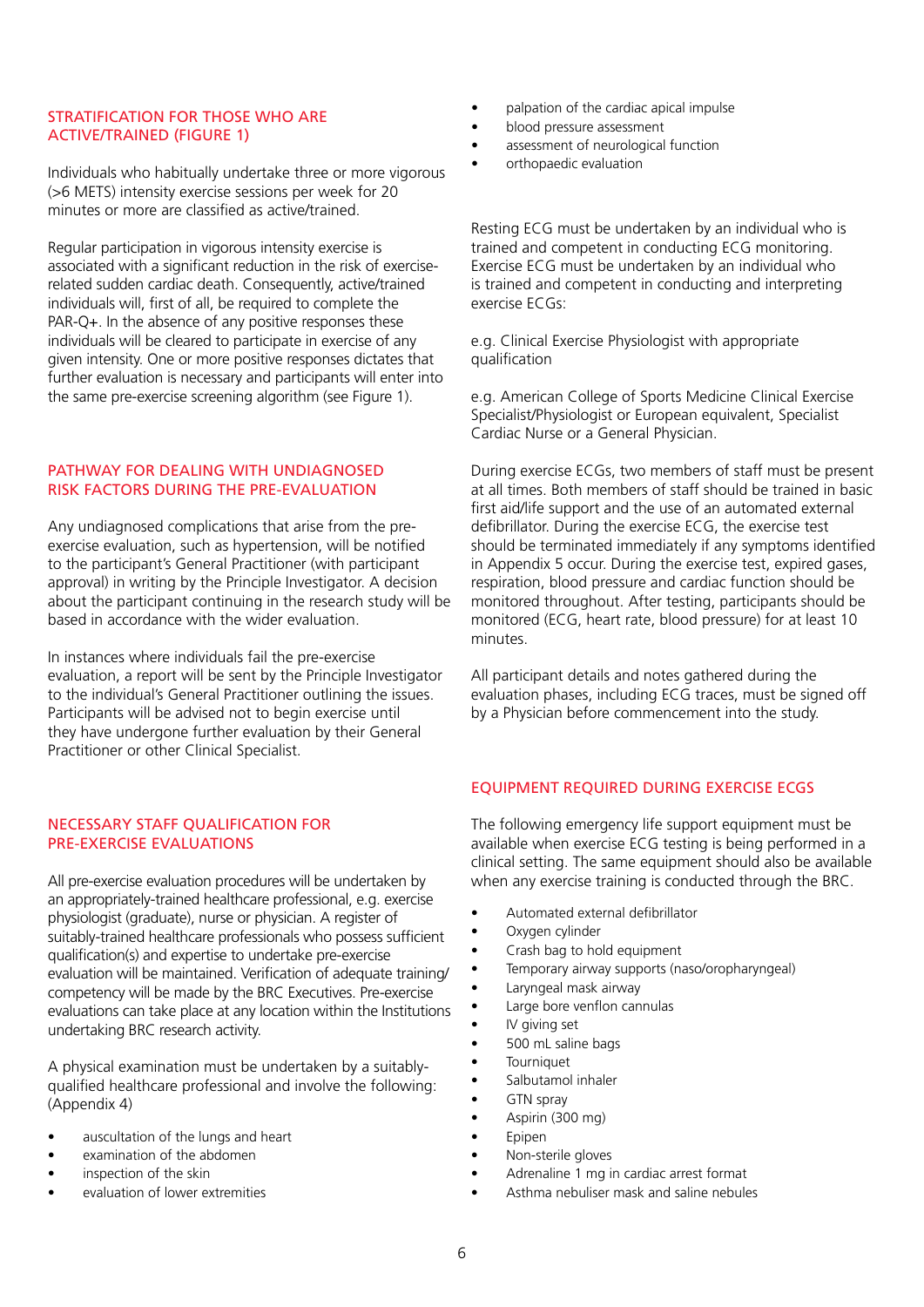#### STRATIFICATION FOR THOSE WHO ARE ACTIVE/TRAINED (FIGURE 1)

Individuals who habitually undertake three or more vigorous (>6 METS) intensity exercise sessions per week for 20 minutes or more are classified as active/trained.

Regular participation in vigorous intensity exercise is associated with a significant reduction in the risk of exerciserelated sudden cardiac death. Consequently, active/trained individuals will, first of all, be required to complete the PAR-Q+. In the absence of any positive responses these individuals will be cleared to participate in exercise of any given intensity. One or more positive responses dictates that further evaluation is necessary and participants will enter into the same pre-exercise screening algorithm (see Figure 1).

#### PATHWAY FOR DEALING WITH UNDIAGNOSED RISK FACTORS DURING THE PRE-EVALUATION

Any undiagnosed complications that arise from the preexercise evaluation, such as hypertension, will be notified to the participant's General Practitioner (with participant approval) in writing by the Principle Investigator. A decision about the participant continuing in the research study will be based in accordance with the wider evaluation.

In instances where individuals fail the pre-exercise evaluation, a report will be sent by the Principle Investigator to the individual's General Practitioner outlining the issues. Participants will be advised not to begin exercise until they have undergone further evaluation by their General Practitioner or other Clinical Specialist.

#### NECESSARY STAFF QUALIFICATION FOR PRE-EXERCISE EVALUATIONS

All pre-exercise evaluation procedures will be undertaken by an appropriately-trained healthcare professional, e.g. exercise physiologist (graduate), nurse or physician. A register of suitably-trained healthcare professionals who possess sufficient qualification(s) and expertise to undertake pre-exercise evaluation will be maintained. Verification of adequate training/ competency will be made by the BRC Executives. Pre-exercise evaluations can take place at any location within the Institutions undertaking BRC research activity.

A physical examination must be undertaken by a suitablyqualified healthcare professional and involve the following: (Appendix 4)

- auscultation of the lungs and heart
- examination of the abdomen
- inspection of the skin
- evaluation of lower extremities
- palpation of the cardiac apical impulse
- blood pressure assessment
- assessment of neurological function
- orthopaedic evaluation

Resting ECG must be undertaken by an individual who is trained and competent in conducting ECG monitoring. Exercise ECG must be undertaken by an individual who is trained and competent in conducting and interpreting exercise ECGs:

e.g. Clinical Exercise Physiologist with appropriate qualification

e.g. American College of Sports Medicine Clinical Exercise Specialist/Physiologist or European equivalent, Specialist Cardiac Nurse or a General Physician.

During exercise ECGs, two members of staff must be present at all times. Both members of staff should be trained in basic first aid/life support and the use of an automated external defibrillator. During the exercise ECG, the exercise test should be terminated immediately if any symptoms identified in Appendix 5 occur. During the exercise test, expired gases, respiration, blood pressure and cardiac function should be monitored throughout. After testing, participants should be monitored (ECG, heart rate, blood pressure) for at least 10 minutes.

All participant details and notes gathered during the evaluation phases, including ECG traces, must be signed off by a Physician before commencement into the study.

#### EQUIPMENT REQUIRED DURING EXERCISE ECGS

The following emergency life support equipment must be available when exercise ECG testing is being performed in a clinical setting. The same equipment should also be available when any exercise training is conducted through the BRC.

- Automated external defibrillator
- Oxygen cylinder
- Crash bag to hold equipment
- Temporary airway supports (naso/oropharyngeal)
- Laryngeal mask airway
- Large bore venflon cannulas
- IV giving set
- 500 mL saline bags
- **Tourniquet**
- Salbutamol inhaler
- GTN spray
- Aspirin (300 mg)
- Epipen
- Non-sterile gloves
- Adrenaline 1 mg in cardiac arrest format
- Asthma nebuliser mask and saline nebules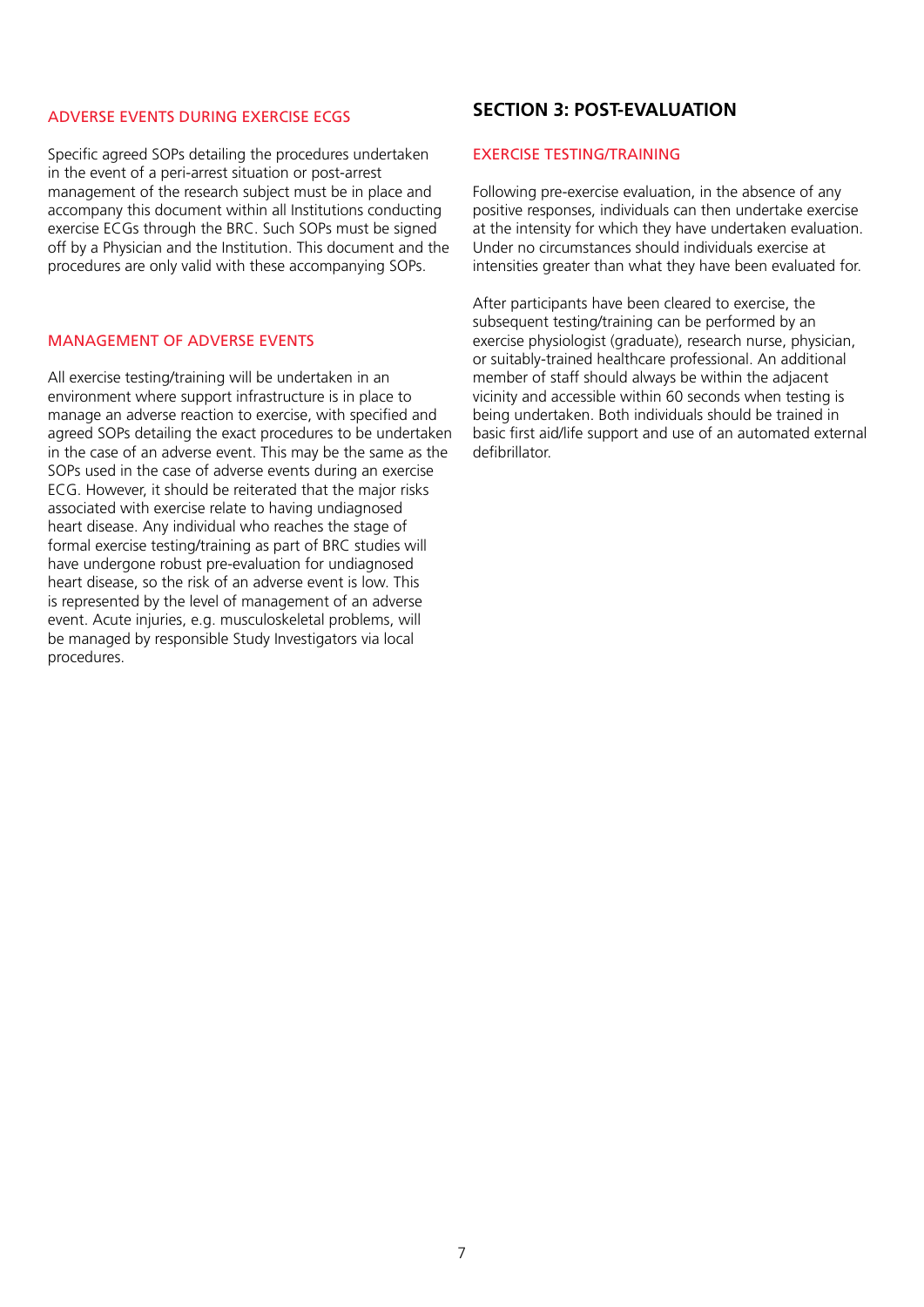#### ADVERSE EVENTS DURING EXERCISE ECGS

Specific agreed SOPs detailing the procedures undertaken in the event of a peri-arrest situation or post-arrest management of the research subject must be in place and accompany this document within all Institutions conducting exercise ECGs through the BRC. Such SOPs must be signed off by a Physician and the Institution. This document and the procedures are only valid with these accompanying SOPs.

#### MANAGEMENT OF ADVERSE EVENTS

All exercise testing/training will be undertaken in an environment where support infrastructure is in place to manage an adverse reaction to exercise, with specified and agreed SOPs detailing the exact procedures to be undertaken in the case of an adverse event. This may be the same as the SOPs used in the case of adverse events during an exercise ECG. However, it should be reiterated that the major risks associated with exercise relate to having undiagnosed heart disease. Any individual who reaches the stage of formal exercise testing/training as part of BRC studies will have undergone robust pre-evaluation for undiagnosed heart disease, so the risk of an adverse event is low. This is represented by the level of management of an adverse event. Acute injuries, e.g. musculoskeletal problems, will be managed by responsible Study Investigators via local procedures.

#### **SECTION 3: POST-EVALUATION**

#### EXERCISE TESTING/TRAINING

Following pre-exercise evaluation, in the absence of any positive responses, individuals can then undertake exercise at the intensity for which they have undertaken evaluation. Under no circumstances should individuals exercise at intensities greater than what they have been evaluated for.

After participants have been cleared to exercise, the subsequent testing/training can be performed by an exercise physiologist (graduate), research nurse, physician, or suitably-trained healthcare professional. An additional member of staff should always be within the adjacent vicinity and accessible within 60 seconds when testing is being undertaken. Both individuals should be trained in basic first aid/life support and use of an automated external defibrillator.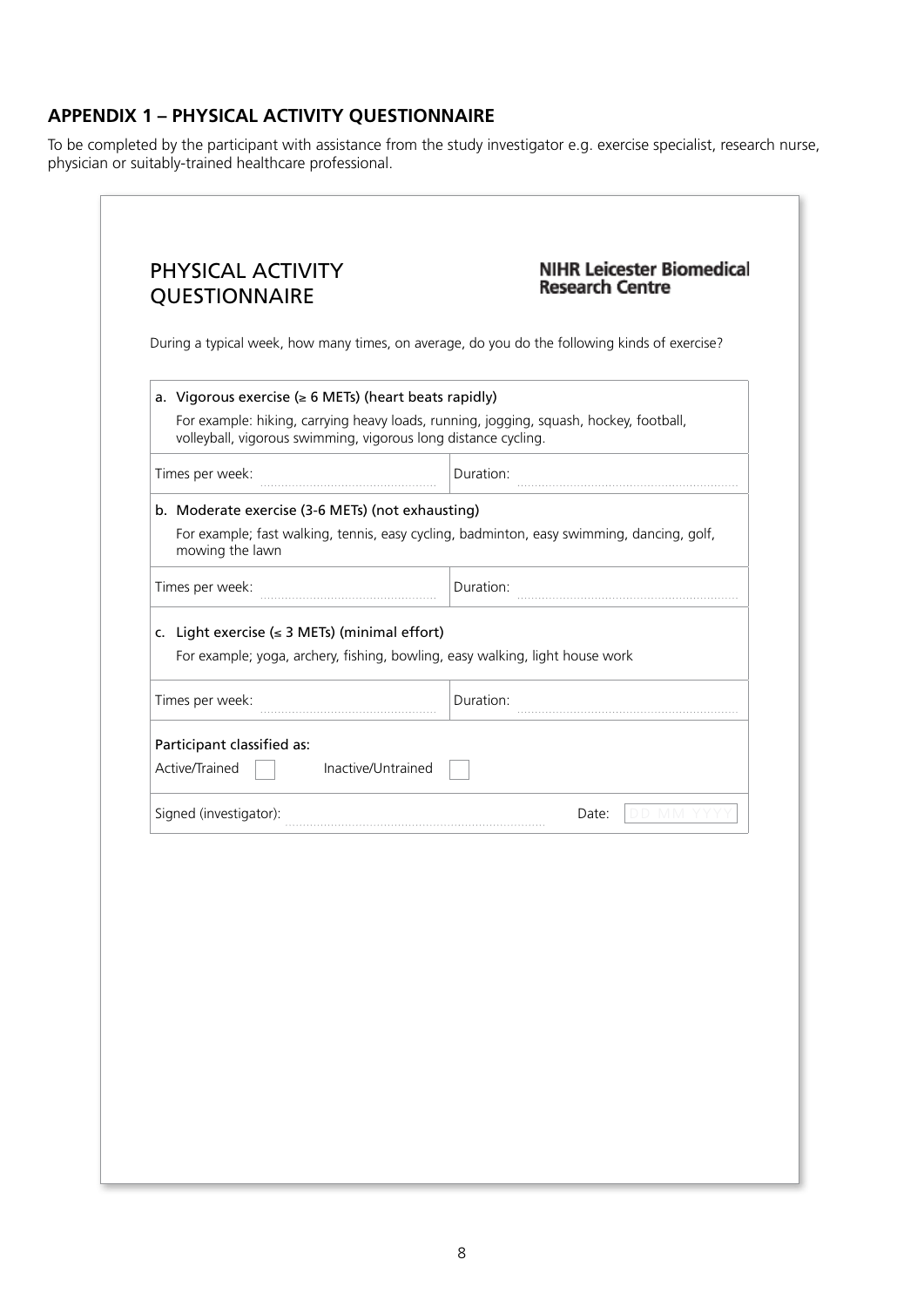## **APPENDIX 1 – PHYSICAL ACTIVITY QUESTIONNAIRE**

To be completed by the participant with assistance from the study investigator e.g. exercise specialist, research nurse, physician or suitably-trained healthcare professional.

|                                                                                                                               | During a typical week, how many times, on average, do you do the following kinds of exercise? |
|-------------------------------------------------------------------------------------------------------------------------------|-----------------------------------------------------------------------------------------------|
| a. Vigorous exercise ( $\geq 6$ METs) (heart beats rapidly)<br>volleyball, vigorous swimming, vigorous long distance cycling. | For example: hiking, carrying heavy loads, running, jogging, squash, hockey, football,        |
| Times per week:                                                                                                               | Duration:                                                                                     |
| b. Moderate exercise (3-6 METs) (not exhausting)<br>mowing the lawn                                                           | For example; fast walking, tennis, easy cycling, badminton, easy swimming, dancing, golf,     |
| Times per week:                                                                                                               | Duration:                                                                                     |
| Times per week:<br>Participant classified as:<br>Active/Trained<br>Inactive/Untrained                                         | Duration:                                                                                     |
| Signed (investigator):                                                                                                        | Date:<br>dd mm y                                                                              |
|                                                                                                                               |                                                                                               |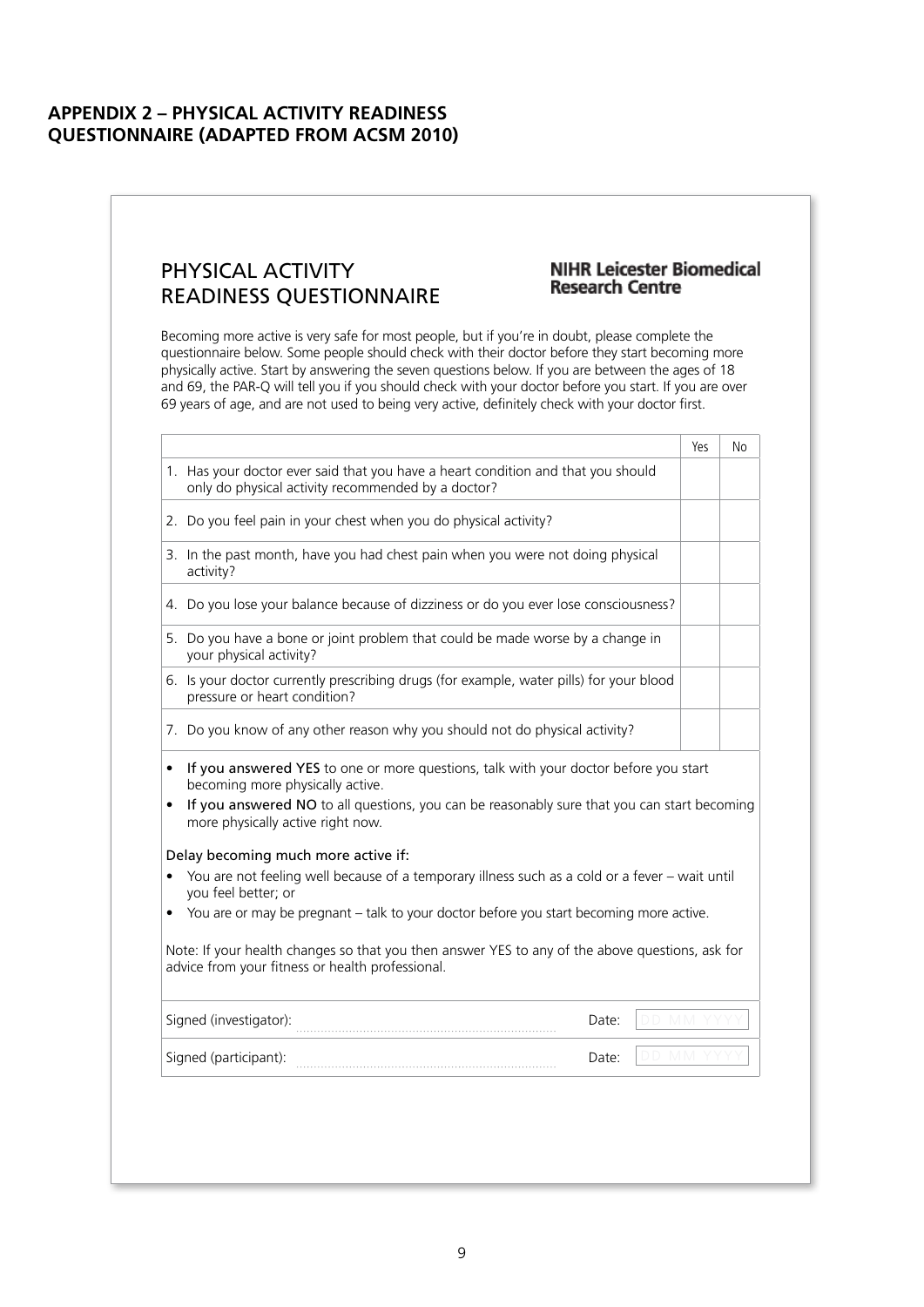## **APPENDIX 2 – PHYSICAL ACTIVITY READINESS QUESTIONNAIRE (ADAPTED FROM ACSM 2010)**

## PHYSICAL ACTIVITY READINESS QUESTIONNAIRE

#### **NIHR Leicester Biomedical Research Centre**

Becoming more active is very safe for most people, but if you're in doubt, please complete the questionnaire below. Some people should check with their doctor before they start becoming more physically active. Start by answering the seven questions below. If you are between the ages of 18 and 69, the PAR-Q will tell you if you should check with your doctor before you start. If you are over 69 years of age, and are not used to being very active, definitely check with your doctor first.

|           |                                                                                                                                                     | Yes | No |
|-----------|-----------------------------------------------------------------------------------------------------------------------------------------------------|-----|----|
|           | 1. Has your doctor ever said that you have a heart condition and that you should<br>only do physical activity recommended by a doctor?              |     |    |
|           | 2. Do you feel pain in your chest when you do physical activity?                                                                                    |     |    |
|           | 3. In the past month, have you had chest pain when you were not doing physical<br>activity?                                                         |     |    |
|           | 4. Do you lose your balance because of dizziness or do you ever lose consciousness?                                                                 |     |    |
|           | 5. Do you have a bone or joint problem that could be made worse by a change in<br>your physical activity?                                           |     |    |
|           | 6. Is your doctor currently prescribing drugs (for example, water pills) for your blood<br>pressure or heart condition?                             |     |    |
|           | 7. Do you know of any other reason why you should not do physical activity?                                                                         |     |    |
| $\bullet$ | If you answered YES to one or more questions, talk with your doctor before you start<br>becoming more physically active.                            |     |    |
| ٠         | If you answered NO to all questions, you can be reasonably sure that you can start becoming<br>more physically active right now.                    |     |    |
|           | Delay becoming much more active if:                                                                                                                 |     |    |
| $\bullet$ | You are not feeling well because of a temporary illness such as a cold or a fever - wait until<br>you feel better; or                               |     |    |
| ٠         | You are or may be pregnant - talk to your doctor before you start becoming more active.                                                             |     |    |
|           | Note: If your health changes so that you then answer YES to any of the above questions, ask for<br>advice from your fitness or health professional. |     |    |
|           | Signed (investigator):<br>Date:                                                                                                                     |     |    |
|           | Signed (participant):<br>Date:                                                                                                                      |     |    |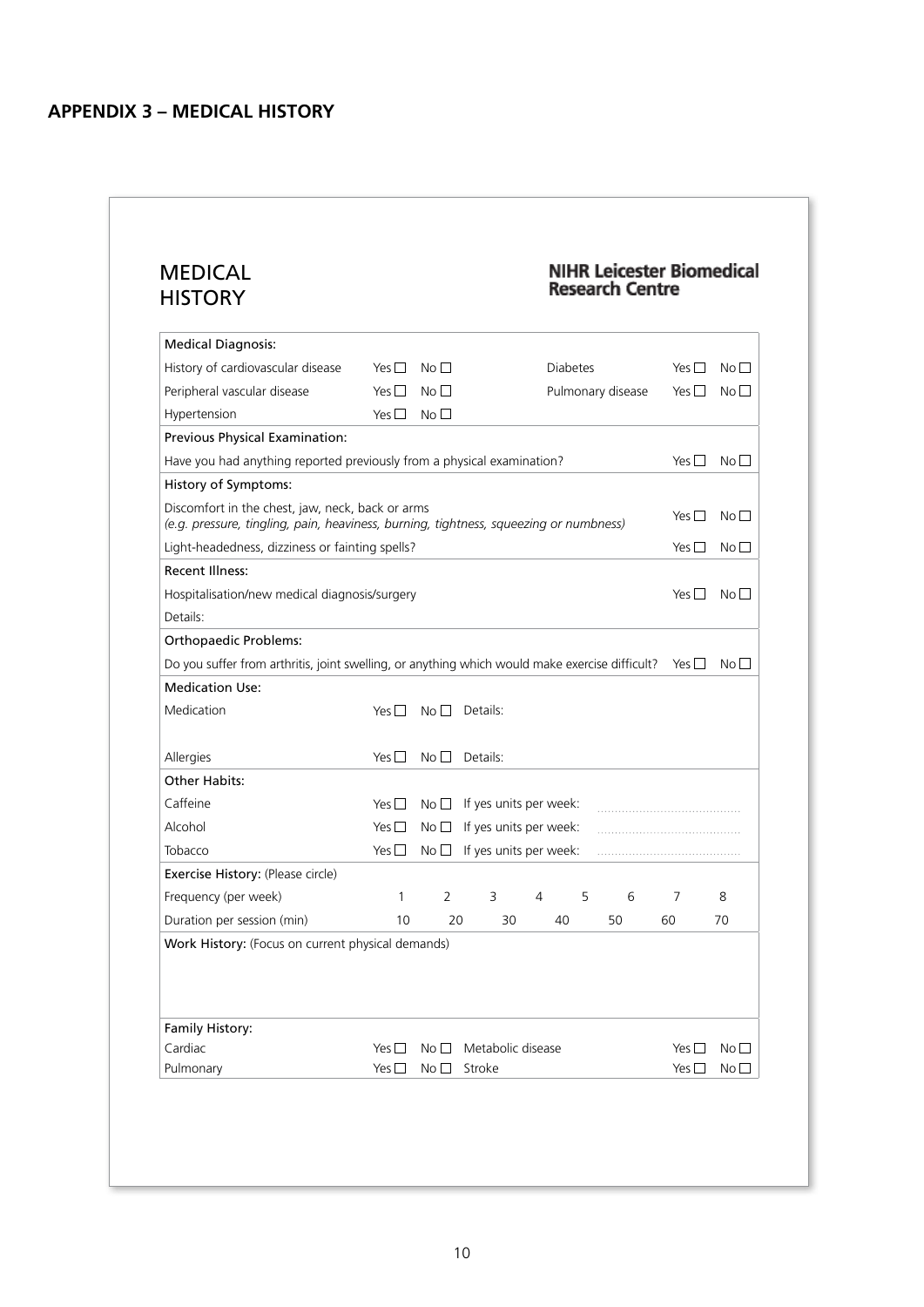## **APPENDIX 3 – MEDICAL HISTORY**

## MEDICAL **HISTORY**

## NIHR Leicester Biomedical<br>Research Centre

| <b>Medical Diagnosis:</b>                                                                                                                 |               |                           |                        |   |                   |    |               |                     |
|-------------------------------------------------------------------------------------------------------------------------------------------|---------------|---------------------------|------------------------|---|-------------------|----|---------------|---------------------|
| History of cardiovascular disease                                                                                                         | Yes $\Box$    | No <sub>1</sub>           |                        |   | <b>Diabetes</b>   |    | Yes $\square$ | No <sub>1</sub>     |
| Peripheral vascular disease                                                                                                               | Yes $\square$ | No <sub>1</sub>           |                        |   | Pulmonary disease |    | Yes $\square$ | No <sub>1</sub>     |
| Hypertension                                                                                                                              | Yes $\Box$    | No <sub>1</sub>           |                        |   |                   |    |               |                     |
| Previous Physical Examination:                                                                                                            |               |                           |                        |   |                   |    |               |                     |
| Have you had anything reported previously from a physical examination?                                                                    |               |                           |                        |   |                   |    | Yes $\square$ | No <sub>1</sub>     |
| History of Symptoms:                                                                                                                      |               |                           |                        |   |                   |    |               |                     |
| Discomfort in the chest, jaw, neck, back or arms<br>(e.g. pressure, tingling, pain, heaviness, burning, tightness, squeezing or numbness) |               |                           |                        |   |                   |    | Yes $\Box$    | N <sub>O</sub>      |
| Light-headedness, dizziness or fainting spells?                                                                                           |               |                           |                        |   |                   |    | Yes $\Box$    | No <sub>1</sub>     |
| <b>Recent Illness:</b>                                                                                                                    |               |                           |                        |   |                   |    |               |                     |
| Hospitalisation/new medical diagnosis/surgery                                                                                             |               |                           |                        |   |                   |    | Yes $\square$ | No <sub>1</sub>     |
| Details:                                                                                                                                  |               |                           |                        |   |                   |    |               |                     |
| Orthopaedic Problems:                                                                                                                     |               |                           |                        |   |                   |    |               |                     |
| Do you suffer from arthritis, joint swelling, or anything which would make exercise difficult?                                            |               |                           |                        |   |                   |    | Yes $\square$ | No <sub>1</sub>     |
| <b>Medication Use:</b>                                                                                                                    |               |                           |                        |   |                   |    |               |                     |
| Medication                                                                                                                                | Yes $\Box$    | $N_O$                     | Details:               |   |                   |    |               |                     |
|                                                                                                                                           |               |                           |                        |   |                   |    |               |                     |
| Allergies                                                                                                                                 | Yes $\square$ | No <sub>1</sub>           | Details:               |   |                   |    |               |                     |
| <b>Other Habits:</b>                                                                                                                      |               |                           |                        |   |                   |    |               |                     |
| Caffeine                                                                                                                                  | Yes $\Box$    | $\mathsf{No}\,\mathsf{L}$ | If yes units per week: |   |                   |    |               |                     |
| Alcohol                                                                                                                                   | Yes $\square$ | $\mathsf{No}\,\mathsf{L}$ | If yes units per week: |   |                   |    |               |                     |
| Tobacco                                                                                                                                   | Yes $\square$ | No <sub>1</sub>           | If yes units per week: |   |                   |    |               |                     |
| Exercise History: (Please circle)                                                                                                         |               |                           |                        |   |                   |    |               |                     |
| Frequency (per week)                                                                                                                      | 1             | $\overline{2}$            | 3                      | 4 | 5                 | 6  | 7             | 8                   |
| Duration per session (min)                                                                                                                | 10            | 20                        | 30                     |   | 40                | 50 | 60            | 70                  |
| Work History: (Focus on current physical demands)                                                                                         |               |                           |                        |   |                   |    |               |                     |
|                                                                                                                                           |               |                           |                        |   |                   |    |               |                     |
|                                                                                                                                           |               |                           |                        |   |                   |    |               |                     |
|                                                                                                                                           |               |                           |                        |   |                   |    |               |                     |
| Family History:<br>Cardiac                                                                                                                | Yes $\Box$    | No <sub>1</sub>           | Metabolic disease      |   |                   |    | Yes $\square$ | No <sub>1</sub>     |
|                                                                                                                                           |               |                           |                        |   |                   |    |               |                     |
| Pulmonary                                                                                                                                 | Yes $\square$ | No <sub>1</sub>           | Stroke                 |   |                   |    | Yes $\square$ | $\mathsf{No}\,\Box$ |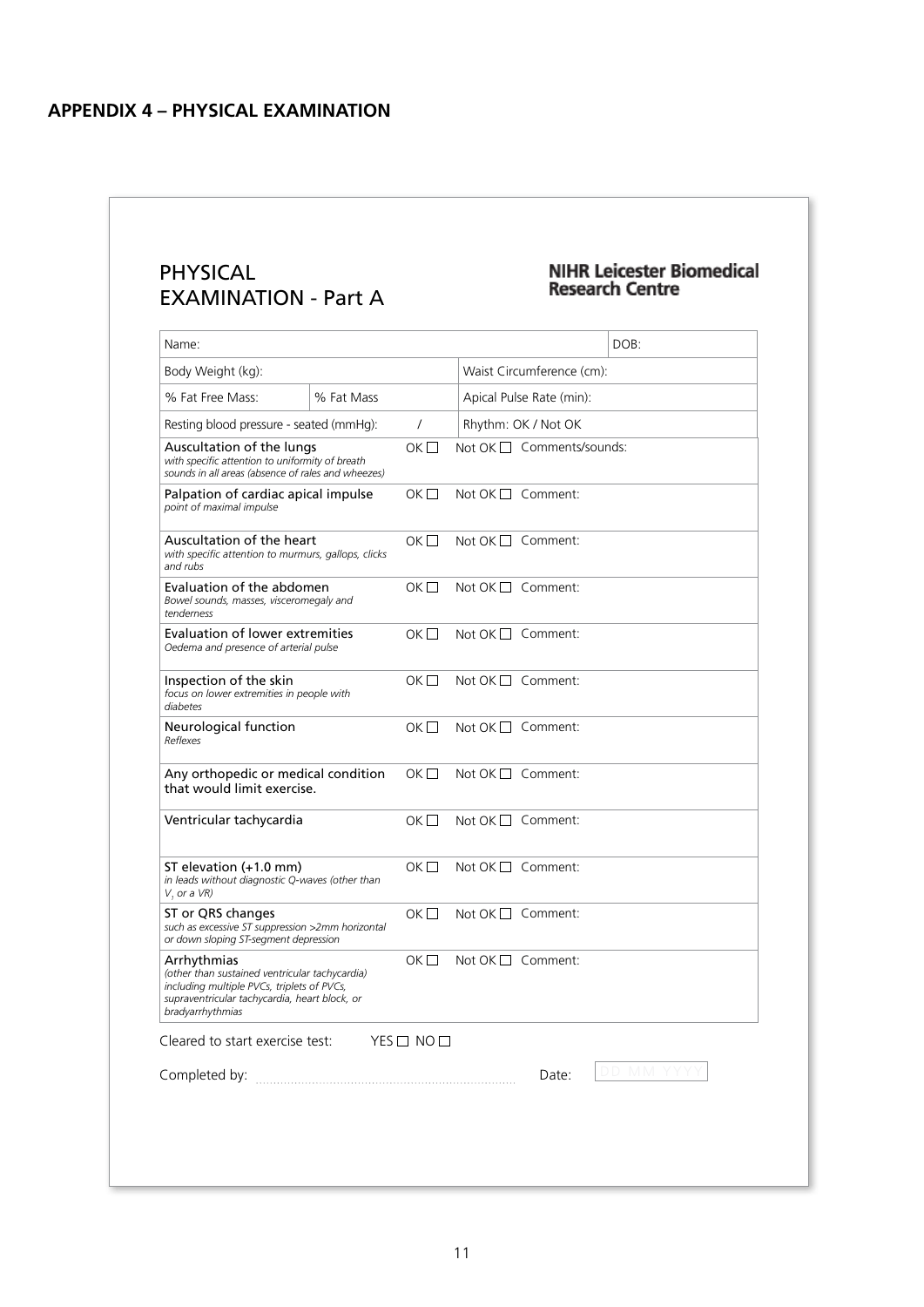## PHYSICAL EXAMINATION - Part A

## NIHR Leicester Biomedical<br>Research Centre

| Body Weight (kg):                                                                                                                                                                |            |                          | Waist Circumference (cm):      |            |
|----------------------------------------------------------------------------------------------------------------------------------------------------------------------------------|------------|--------------------------|--------------------------------|------------|
| % Fat Free Mass:                                                                                                                                                                 | % Fat Mass |                          | Apical Pulse Rate (min):       |            |
| Resting blood pressure - seated (mmHg):                                                                                                                                          |            | $\prime$                 | Rhythm: OK / Not OK            |            |
| Auscultation of the lungs<br>with specific attention to uniformity of breath<br>sounds in all areas (absence of rales and wheezes)                                               |            | $OK\square$              | Not $OK \Box$ Comments/sounds: |            |
| Palpation of cardiac apical impulse<br>point of maximal impulse                                                                                                                  |            | $OK \Box$                | Not $OK \Box$ Comment:         |            |
| Auscultation of the heart<br>with specific attention to murmurs, gallops, clicks<br>and rubs                                                                                     |            | $OK \Box$                | Not $OK \square$ Comment:      |            |
| Evaluation of the abdomen<br>Bowel sounds, masses, visceromegaly and<br>tenderness                                                                                               |            | $OK \Box$                | Not $OK \square$ Comment:      |            |
| Evaluation of lower extremities<br>Oedema and presence of arterial pulse                                                                                                         |            | $OK \Box$                | Not $OK \square$ Comment:      |            |
| Inspection of the skin<br>focus on lower extremities in people with<br>diabetes                                                                                                  |            | $OK \Box$                | Not $OK \square$ Comment:      |            |
| Neurological function<br>Reflexes                                                                                                                                                |            | $OK \Box$                | Not $OK \square$ Comment:      |            |
| Any orthopedic or medical condition<br>that would limit exercise.                                                                                                                |            | $OK\square$              | Not $OK \square$ Comment:      |            |
| Ventricular tachycardia                                                                                                                                                          |            | $OK \Box$                | Not OK $\Box$ Comment:         |            |
| ST elevation (+1.0 mm)<br>in leads without diagnostic Q-waves (other than<br>V, or a VR)                                                                                         |            | $OK \Box$                | Not $OK \square$ Comment:      |            |
| ST or QRS changes<br>such as excessive ST suppression >2mm horizontal<br>or down sloping ST-segment depression                                                                   |            | $OK \Box$                | Not $OK \square$ Comment:      |            |
| Arrhythmias<br>(other than sustained ventricular tachycardia)<br>including multiple PVCs, triplets of PVCs,<br>supraventricular tachycardia, heart block, or<br>bradyarrhythmias |            | $OK \square$             | Not $OK \square$ Comment:      |            |
| Cleared to start exercise test:                                                                                                                                                  |            | $YES$ $\Box$ $NO$ $\Box$ |                                |            |
|                                                                                                                                                                                  |            |                          | Date:                          | DD MM YYYY |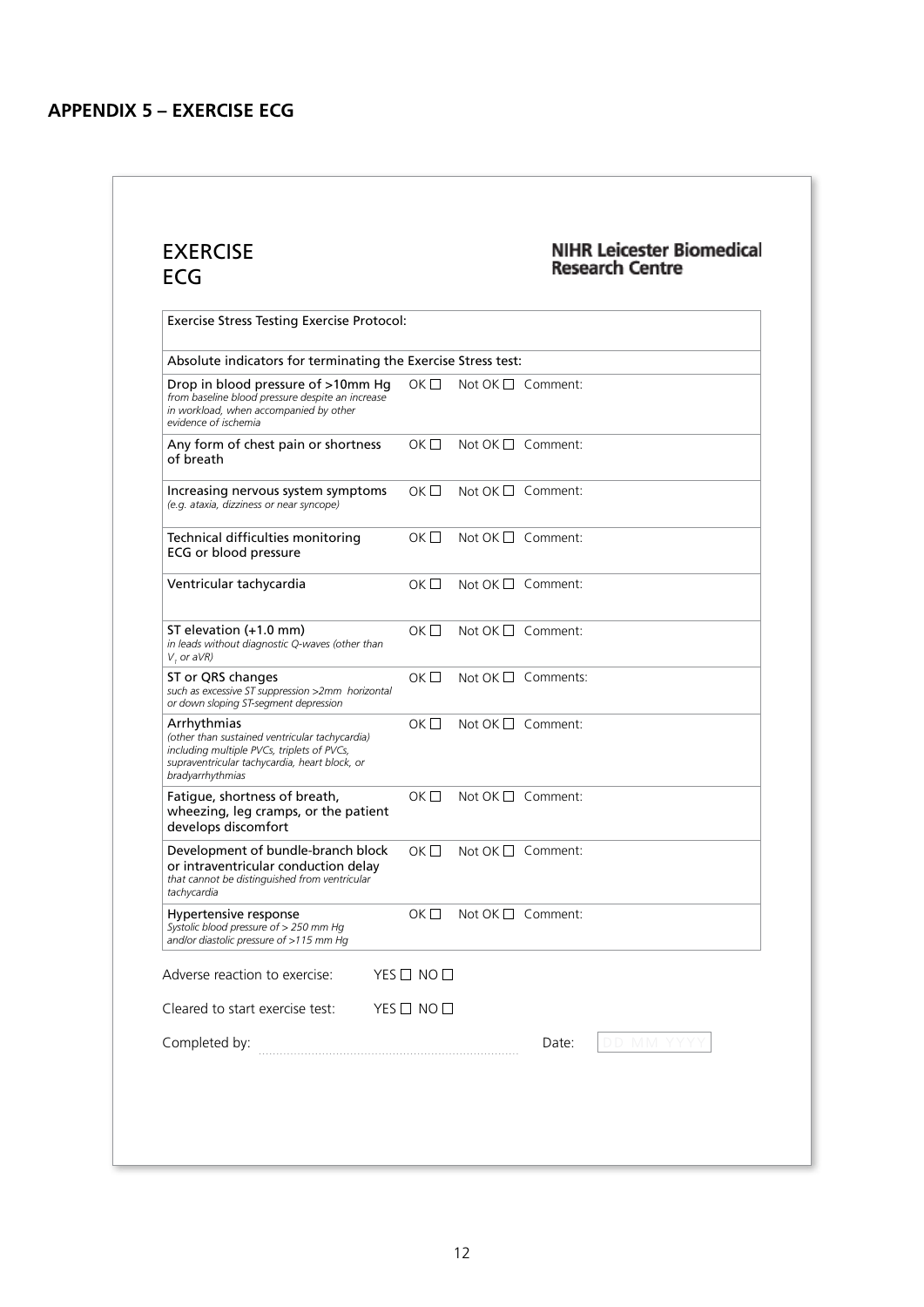| <b>EXERCISE</b><br><b>ECG</b>                                                                                                                                                    |                    |                            | NIHR Leicester Biomedical<br><b>Research Centre</b> |
|----------------------------------------------------------------------------------------------------------------------------------------------------------------------------------|--------------------|----------------------------|-----------------------------------------------------|
| <b>Exercise Stress Testing Exercise Protocol:</b>                                                                                                                                |                    |                            |                                                     |
| Absolute indicators for terminating the Exercise Stress test:                                                                                                                    |                    |                            |                                                     |
| Drop in blood pressure of >10mm Hg<br>from baseline blood pressure despite an increase<br>in workload, when accompanied by other<br>evidence of ischemia                         | OK                 | Not $OK \square$ Comment:  |                                                     |
| Any form of chest pain or shortness<br>of breath                                                                                                                                 | OK <sup>1</sup>    | Not $OK \square$ Comment:  |                                                     |
| Increasing nervous system symptoms<br>(e.g. ataxia, dizziness or near syncope)                                                                                                   | OK <sup>1</sup>    | Not $OK \square$ Comment:  |                                                     |
| Technical difficulties monitoring<br>ECG or blood pressure                                                                                                                       | OK <sup>1</sup>    | Not $OK \square$ Comment:  |                                                     |
| Ventricular tachycardia                                                                                                                                                          | OK <sup>1</sup>    | Not $OK \square$ Comment:  |                                                     |
| ST elevation (+1.0 mm)<br>in leads without diagnostic Q-waves (other than<br>$V,$ or aVR)                                                                                        | OK                 | Not $OK \square$ Comment:  |                                                     |
| ST or QRS changes<br>such as excessive ST suppression >2mm horizontal<br>or down sloping ST-segment depression                                                                   | OK                 | Not $OK \square$ Comments: |                                                     |
| Arrhythmias<br>(other than sustained ventricular tachycardia)<br>including multiple PVCs, triplets of PVCs,<br>supraventricular tachycardia, heart block, or<br>bradyarrhythmias | $OK \Box$          | Not $OK \square$ Comment:  |                                                     |
| Fatigue, shortness of breath,<br>wheezing, leg cramps, or the patient<br>develops discomfort                                                                                     | OK                 | Not $OK \square$ Comment:  |                                                     |
| Development of bundle-branch block<br>or intraventricular conduction delay<br>that cannot be distinguished from ventricular<br>tachycardia                                       | OK <sup>1</sup>    | Not OK $\square$ Comment:  |                                                     |
| Hypertensive response<br>Systolic blood pressure of > 250 mm Hq<br>and/or diastolic pressure of >115 mm Hq                                                                       | $OK \square$       | Not $OK \square$ Comment:  |                                                     |
| Adverse reaction to exercise:                                                                                                                                                    | $YES \Box NO \Box$ |                            |                                                     |
| Cleared to start exercise test:                                                                                                                                                  | $YES \Box NO \Box$ |                            |                                                     |
| Completed by:                                                                                                                                                                    |                    | Date:                      | D MM YY                                             |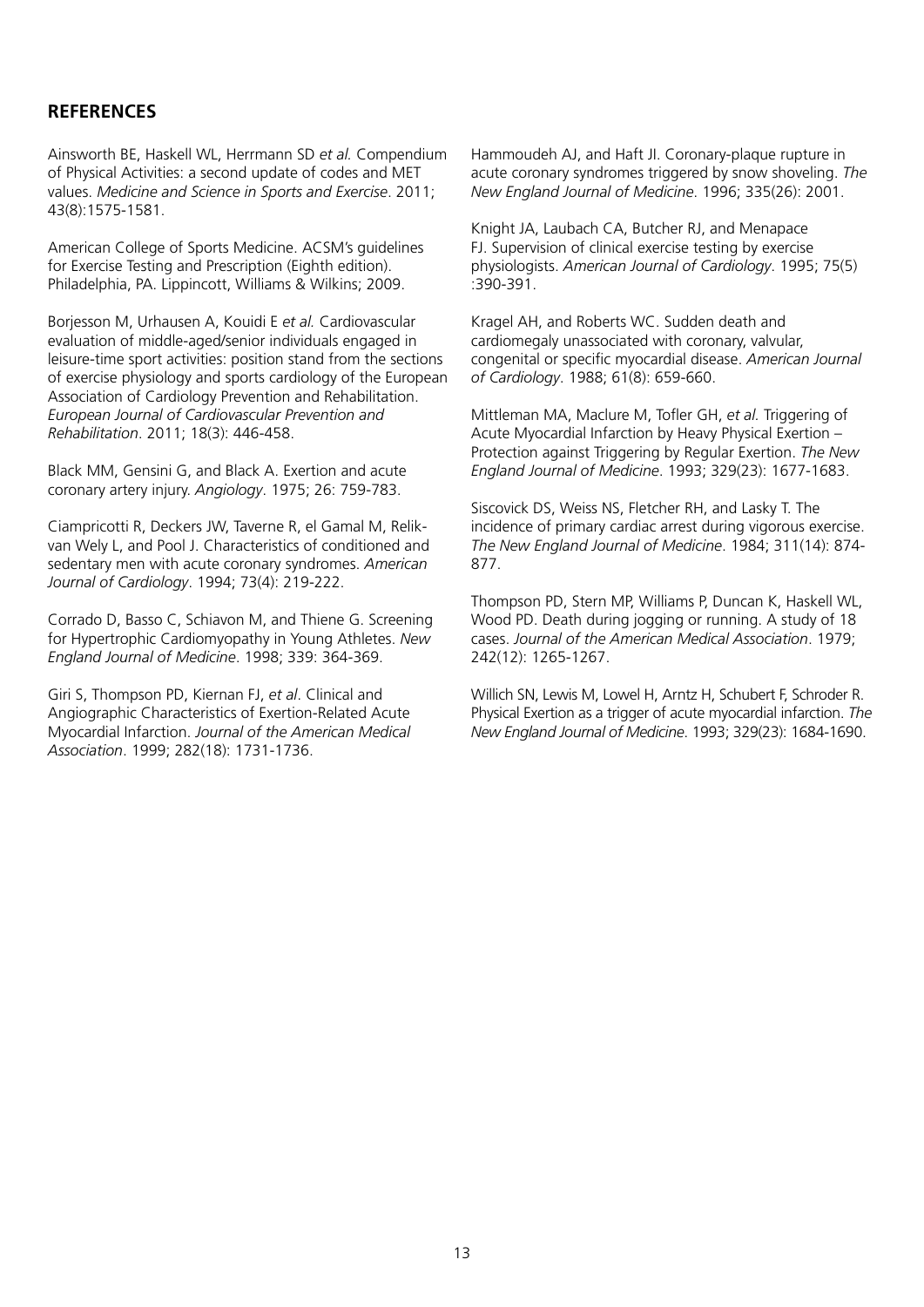## **REFERENCES**

Ainsworth BE, Haskell WL, Herrmann SD *et al.* Compendium of Physical Activities: a second update of codes and MET values. *Medicine and Science in Sports and Exercise*. 2011; 43(8):1575-1581.

American College of Sports Medicine. ACSM's guidelines for Exercise Testing and Prescription (Eighth edition). Philadelphia, PA. Lippincott, Williams & Wilkins; 2009.

Borjesson M, Urhausen A, Kouidi E *et al.* Cardiovascular evaluation of middle-aged/senior individuals engaged in leisure-time sport activities: position stand from the sections of exercise physiology and sports cardiology of the European Association of Cardiology Prevention and Rehabilitation. *European Journal of Cardiovascular Prevention and Rehabilitation*. 2011; 18(3): 446-458.

Black MM, Gensini G, and Black A. Exertion and acute coronary artery injury. *Angiology*. 1975; 26: 759-783.

Ciampricotti R, Deckers JW, Taverne R, el Gamal M, Relikvan Wely L, and Pool J. Characteristics of conditioned and sedentary men with acute coronary syndromes. *American Journal of Cardiology*. 1994; 73(4): 219-222.

Corrado D, Basso C, Schiavon M, and Thiene G. Screening for Hypertrophic Cardiomyopathy in Young Athletes. *New England Journal of Medicine*. 1998; 339: 364-369.

Giri S, Thompson PD, Kiernan FJ, *et al*. Clinical and Angiographic Characteristics of Exertion-Related Acute Myocardial Infarction. *Journal of the American Medical Association*. 1999; 282(18): 1731-1736.

Hammoudeh AJ, and Haft JI. Coronary-plaque rupture in acute coronary syndromes triggered by snow shoveling. *The New England Journal of Medicine*. 1996; 335(26): 2001.

Knight JA, Laubach CA, Butcher RJ, and Menapace FJ. Supervision of clinical exercise testing by exercise physiologists. *American Journal of Cardiology*. 1995; 75(5)  $.390 - 391$ 

Kragel AH, and Roberts WC. Sudden death and cardiomegaly unassociated with coronary, valvular, congenital or specific myocardial disease. *American Journal of Cardiology*. 1988; 61(8): 659-660.

Mittleman MA, Maclure M, Tofler GH, *et al.* Triggering of Acute Myocardial Infarction by Heavy Physical Exertion – Protection against Triggering by Regular Exertion. *The New England Journal of Medicine*. 1993; 329(23): 1677-1683.

Siscovick DS, Weiss NS, Fletcher RH, and Lasky T. The incidence of primary cardiac arrest during vigorous exercise. *The New England Journal of Medicine*. 1984; 311(14): 874- 877.

Thompson PD, Stern MP, Williams P, Duncan K, Haskell WL, Wood PD. Death during jogging or running. A study of 18 cases. *Journal of the American Medical Association*. 1979; 242(12): 1265-1267.

Willich SN, Lewis M, Lowel H, Arntz H, Schubert F, Schroder R. Physical Exertion as a trigger of acute myocardial infarction. *The New England Journal of Medicine*. 1993; 329(23): 1684-1690.